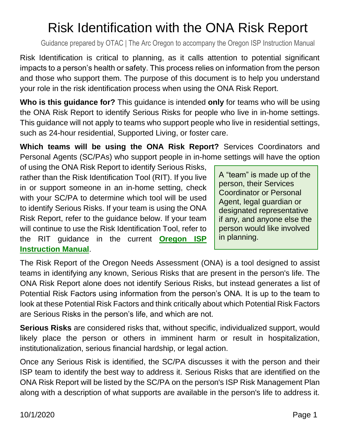# Risk Identification with the ONA Risk Report

Guidance prepared by OTAC | The Arc Oregon to accompany the Oregon ISP Instruction Manual

Risk Identification is critical to planning, as it calls attention to potential significant impacts to a person's health or safety. This process relies on information from the person and those who support them. The purpose of this document is to help you understand your role in the risk identification process when using the ONA Risk Report.

**Who is this guidance for?** This guidance is intended **only** for teams who will be using the ONA Risk Report to identify Serious Risks for people who live in in-home settings. This guidance will not apply to teams who support people who live in residential settings, such as 24-hour residential, Supported Living, or foster care.

**Which teams will be using the ONA Risk Report?** Services Coordinators and Personal Agents (SC/PAs) who support people in in-home settings will have the option

of using the ONA Risk Report to identify Serious Risks, rather than the Risk Identification Tool (RIT). If you live in or support someone in an in-home setting, check with your SC/PA to determine which tool will be used to identify Serious Risks. If your team is using the ONA Risk Report, refer to the guidance below. If your team will continue to use the Risk Identification Tool, refer to the RIT guidance in the current **[Oregon ISP](https://oregonisp.org/instructions/)  [Instruction Manual](https://oregonisp.org/instructions/)**.

A "team" is made up of the person, their Services Coordinator or Personal Agent, legal guardian or designated representative if any, and anyone else the person would like involved in planning.

The Risk Report of the Oregon Needs Assessment (ONA) is a tool designed to assist teams in identifying any known, Serious Risks that are present in the person's life. The ONA Risk Report alone does not identify Serious Risks, but instead generates a list of Potential Risk Factors using information from the person's ONA. It is up to the team to look at these Potential Risk Factors and think critically about which Potential Risk Factors are Serious Risks in the person's life, and which are not.

**Serious Risks** are considered risks that, without specific, individualized support, would likely place the person or others in imminent harm or result in hospitalization, institutionalization, serious financial hardship, or legal action.

Once any Serious Risk is identified, the SC/PA discusses it with the person and their ISP team to identify the best way to address it. Serious Risks that are identified on the ONA Risk Report will be listed by the SC/PA on the person's ISP Risk Management Plan along with a description of what supports are available in the person's life to address it.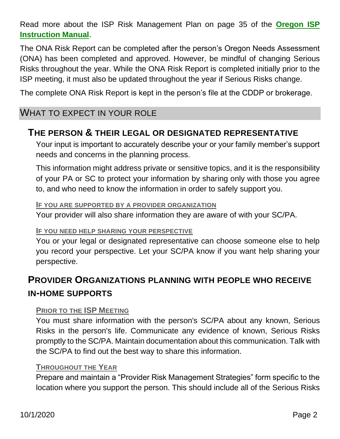Read more about the ISP Risk Management Plan on page 35 of the **[Oregon ISP](https://oregonisp.org/instructions/)  [Instruction Manual](https://oregonisp.org/instructions/)**.

The ONA Risk Report can be completed after the person's Oregon Needs Assessment (ONA) has been completed and approved. However, be mindful of changing Serious Risks throughout the year. While the ONA Risk Report is completed initially prior to the ISP meeting, it must also be updated throughout the year if Serious Risks change.

The complete ONA Risk Report is kept in the person's file at the CDDP or brokerage.

### WHAT TO EXPECT IN YOUR ROLE

### **THE PERSON & THEIR LEGAL OR DESIGNATED REPRESENTATIVE**

Your input is important to accurately describe your or your family member's support needs and concerns in the planning process.

This information might address private or sensitive topics, and it is the responsibility of your PA or SC to protect your information by sharing only with those you agree to, and who need to know the information in order to safely support you.

#### **IF YOU ARE SUPPORTED BY A PROVIDER ORGANIZATION**

Your provider will also share information they are aware of with your SC/PA.

#### **IF YOU NEED HELP SHARING YOUR PERSPECTIVE**

You or your legal or designated representative can choose someone else to help you record your perspective. Let your SC/PA know if you want help sharing your perspective.

# **PROVIDER ORGANIZATIONS PLANNING WITH PEOPLE WHO RECEIVE IN-HOME SUPPORTS**

#### **PRIOR TO THE ISP MEETING**

You must share information with the person's SC/PA about any known, Serious Risks in the person's life. Communicate any evidence of known, Serious Risks promptly to the SC/PA. Maintain documentation about this communication. Talk with the SC/PA to find out the best way to share this information.

#### **THROUGHOUT THE YEAR**

Prepare and maintain a "Provider Risk Management Strategies" form specific to the location where you support the person. This should include all of the Serious Risks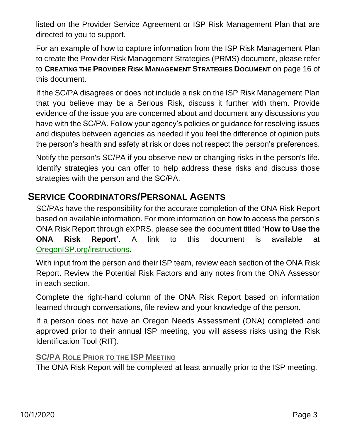listed on the Provider Service Agreement or ISP Risk Management Plan that are directed to you to support.

For an example of how to capture information from the ISP Risk Management Plan to create the Provider Risk Management Strategies (PRMS) document, please refer to **CREATING THE PROVIDER RISK MANAGEMENT STRATEGIES DOCUMENT** on page 16 of this document.

If the SC/PA disagrees or does not include a risk on the ISP Risk Management Plan that you believe may be a Serious Risk, discuss it further with them. Provide evidence of the issue you are concerned about and document any discussions you have with the SC/PA. Follow your agency's policies or guidance for resolving issues and disputes between agencies as needed if you feel the difference of opinion puts the person's health and safety at risk or does not respect the person's preferences.

Notify the person's SC/PA if you observe new or changing risks in the person's life. Identify strategies you can offer to help address these risks and discuss those strategies with the person and the SC/PA.

## **SERVICE COORDINATORS/PERSONAL AGENTS**

SC/PAs have the responsibility for the accurate completion of the ONA Risk Report based on available information. For more information on how to access the person's ONA Risk Report through eXPRS, please see the document titled **'How to Use the ONA Risk Report'**. A link to this document is available at [OregonISP.org/instructions.](https://oregonisp.org/instructions)

With input from the person and their ISP team, review each section of the ONA Risk Report. Review the Potential Risk Factors and any notes from the ONA Assessor in each section.

Complete the right-hand column of the ONA Risk Report based on information learned through conversations, file review and your knowledge of the person.

If a person does not have an Oregon Needs Assessment (ONA) completed and approved prior to their annual ISP meeting, you will assess risks using the Risk Identification Tool (RIT).

#### **SC/PA ROLE PRIOR TO THE ISP MEETING**

The ONA Risk Report will be completed at least annually prior to the ISP meeting.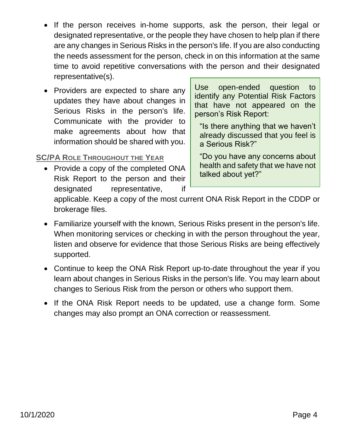- If the person receives in-home supports, ask the person, their legal or designated representative, or the people they have chosen to help plan if there are any changes in Serious Risks in the person's life. If you are also conducting the needs assessment for the person, check in on this information at the same time to avoid repetitive conversations with the person and their designated representative(s).
- Providers are expected to share any updates they have about changes in Serious Risks in the person's life. Communicate with the provider to make agreements about how that information should be shared with you.

#### **SC/PA ROLE THROUGHOUT THE YEAR**

• Provide a copy of the completed ONA Risk Report to the person and their designated representative, if

Use open-ended question to identify any Potential Risk Factors that have not appeared on the person's Risk Report:

"Is there anything that we haven't already discussed that you feel is a Serious Risk?"

"Do you have any concerns about health and safety that we have not talked about yet?"

applicable. Keep a copy of the most current ONA Risk Report in the CDDP or brokerage files.

- Familiarize yourself with the known, Serious Risks present in the person's life. When monitoring services or checking in with the person throughout the year, listen and observe for evidence that those Serious Risks are being effectively supported.
- Continue to keep the ONA Risk Report up-to-date throughout the year if you learn about changes in Serious Risks in the person's life. You may learn about changes to Serious Risk from the person or others who support them.
- If the ONA Risk Report needs to be updated, use a change form. Some changes may also prompt an ONA correction or reassessment.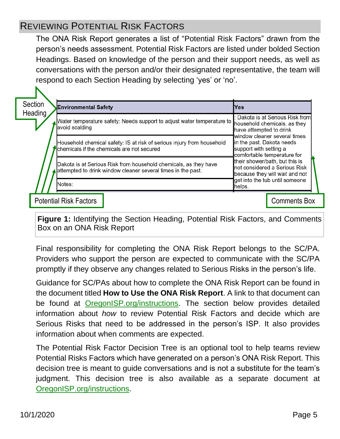# REVIEWING POTENTIAL RISK FACTORS

The ONA Risk Report generates a list of "Potential Risk Factors" drawn from the person's needs assessment. Potential Risk Factors are listed under bolded Section Headings. Based on knowledge of the person and their support needs, as well as conversations with the person and/or their designated representative, the team will respond to each Section Heading by selecting 'yes' or 'no'.

|  | Section<br><b>Heading</b> | <b>Environmental Safety</b>   |                                                                                                                                  | Yes                                                                                                                                                                                                                                                                                  |                                |
|--|---------------------------|-------------------------------|----------------------------------------------------------------------------------------------------------------------------------|--------------------------------------------------------------------------------------------------------------------------------------------------------------------------------------------------------------------------------------------------------------------------------------|--------------------------------|
|  |                           | avoid scalding                | Water temperature safety: Needs support to adjust water temperature to household chemicals, as they                              | Dakota is at Serious Risk from<br>have attempted to drink<br>window cleaner several times<br>in the past. Dakota needs<br>support with setting a<br>comfortable temperature for<br>their shower/bath, but this is<br>not considered a Serious Risk<br>because they will wait and not |                                |
|  |                           |                               | Household chemical safety: IS at risk of serious injury from household<br>Chemicals if the chemicals are not secured             |                                                                                                                                                                                                                                                                                      |                                |
|  |                           |                               | Dakota is at Serious Risk from household chemicals, as they have<br>attempted to drink window cleaner several times in the past. |                                                                                                                                                                                                                                                                                      |                                |
|  |                           | Notes:                        |                                                                                                                                  | helps.                                                                                                                                                                                                                                                                               | get into the tub until someone |
|  |                           | <b>Potential Risk Factors</b> |                                                                                                                                  |                                                                                                                                                                                                                                                                                      | <b>Comments Box</b>            |

**Figure 1:** Identifying the Section Heading, Potential Risk Factors, and Comments Box on an ONA Risk Report

Final responsibility for completing the ONA Risk Report belongs to the SC/PA. Providers who support the person are expected to communicate with the SC/PA promptly if they observe any changes related to Serious Risks in the person's life.

Guidance for SC/PAs about how to complete the ONA Risk Report can be found in the document titled **How to Use the ONA Risk Report**. A link to that document can be found at [OregonISP.org/instructions.](https://oregonisp.org/instructions) The section below provides detailed information about *how* to review Potential Risk Factors and decide which are Serious Risks that need to be addressed in the person's ISP. It also provides information about when comments are expected.

The Potential Risk Factor Decision Tree is an optional tool to help teams review Potential Risks Factors which have generated on a person's ONA Risk Report. This decision tree is meant to guide conversations and is not a substitute for the team's judgment. This decision tree is also available as a separate document at [OregonISP.org/instructions.](https://oregonisp.org/instructions)

N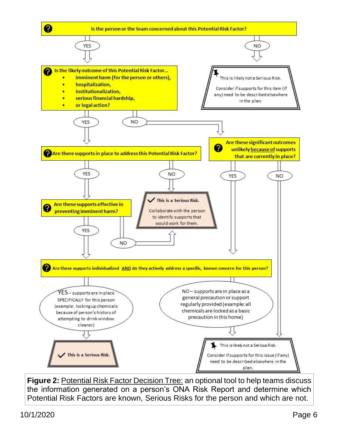

**Figure 2:** Potential Risk Factor Decision Tree: an optional tool to help teams discuss the information generated on a person's ONA Risk Report and determine which Potential Risk Factors are known, Serious Risks for the person and which are not.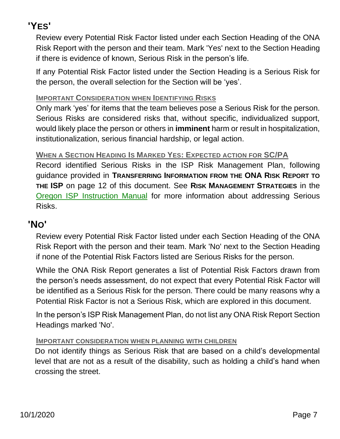# **'YES'**

Review every Potential Risk Factor listed under each Section Heading of the ONA Risk Report with the person and their team. Mark 'Yes' next to the Section Heading if there is evidence of known, Serious Risk in the person's life.

If any Potential Risk Factor listed under the Section Heading is a Serious Risk for the person, the overall selection for the Section will be 'yes'.

#### **IMPORTANT CONSIDERATION WHEN IDENTIFYING RISKS**

Only mark 'yes' for items that the team believes pose a Serious Risk for the person. Serious Risks are considered risks that, without specific, individualized support, would likely place the person or others in **imminent** harm or result in hospitalization, institutionalization, serious financial hardship, or legal action.

#### **WHEN A SECTION HEADING IS MARKED YES: EXPECTED ACTION FOR SC/PA**

Record identified Serious Risks in the ISP Risk Management Plan, following guidance provided in **TRANSFERRING INFORMATION FROM THE ONA RISK REPORT TO THE ISP** on page 12 of this document. See **RISK MANAGEMENT STRATEGIES** in the [Oregon ISP Instruction Manual](https://oregonisp.org/instructions) for more information about addressing Serious Risks.

## **'NO'**

Review every Potential Risk Factor listed under each Section Heading of the ONA Risk Report with the person and their team. Mark 'No' next to the Section Heading if none of the Potential Risk Factors listed are Serious Risks for the person.

While the ONA Risk Report generates a list of Potential Risk Factors drawn from the person's needs assessment, do not expect that every Potential Risk Factor will be identified as a Serious Risk for the person. There could be many reasons why a Potential Risk Factor is not a Serious Risk, which are explored in this document.

In the person's ISP Risk Management Plan, do not list any ONA Risk Report Section Headings marked 'No'.

#### **IMPORTANT CONSIDERATION WHEN PLANNING WITH CHILDREN**

Do not identify things as Serious Risk that are based on a child's developmental level that are not as a result of the disability, such as holding a child's hand when crossing the street.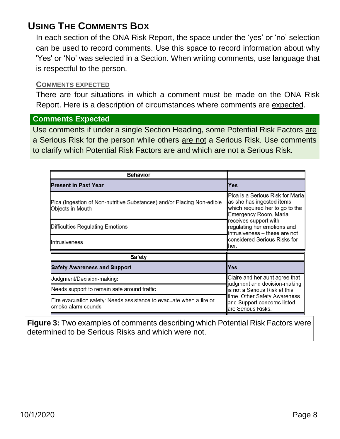# **USING THE COMMENTS BOX**

In each section of the ONA Risk Report, the space under the 'yes' or 'no' selection can be used to record comments. Use this space to record information about why 'Yes' or 'No' was selected in a Section. When writing comments, use language that is respectful to the person.

#### **COMMENTS EXPECTED**

There are four situations in which a comment must be made on the ONA Risk Report. Here is a description of circumstances where comments are expected.

#### **Comments Expected**

Use comments if under a single Section Heading, some Potential Risk Factors are a Serious Risk for the person while others are not a Serious Risk. Use comments to clarify which Potential Risk Factors are and which are not a Serious Risk.

| <b>Behavior</b>                                                                            |                                                                                                                                                                                                                                                            |  |
|--------------------------------------------------------------------------------------------|------------------------------------------------------------------------------------------------------------------------------------------------------------------------------------------------------------------------------------------------------------|--|
| <b>Present in Past Year</b>                                                                | Yes                                                                                                                                                                                                                                                        |  |
| Pica (Ingestion of Non-nutritive Substances) and/or Placing Non-edible<br>Objects in Mouth | Pica is a Serious Risk for Maria<br>as she has ingested items<br>which required her to go to the<br>Emergency Room. Maria<br>receives support with<br>regulating her emotions and<br>intrusiveness - these are not<br>considered Serious Risks for<br>her. |  |
| Difficulties Regulating Emotions                                                           |                                                                                                                                                                                                                                                            |  |
| Intrusiveness                                                                              |                                                                                                                                                                                                                                                            |  |
| <b>Safety</b>                                                                              |                                                                                                                                                                                                                                                            |  |
| <b>Safety Awareness and Support</b>                                                        | Yes                                                                                                                                                                                                                                                        |  |
| Judgment/Decision-making:                                                                  | Claire and her aunt agree that<br>judgment and decision-making<br>is not a Serious Risk at this<br>time. Other Safety Awareness<br>and Support concerns listed<br>are Serious Risks.                                                                       |  |
| Needs support to remain safe around traffic                                                |                                                                                                                                                                                                                                                            |  |
| Fire evacuation safety: Needs assistance to evacuate when a fire or<br>lsmoke alarm sounds |                                                                                                                                                                                                                                                            |  |

**Figure 3:** Two examples of comments describing which Potential Risk Factors were determined to be Serious Risks and which were not.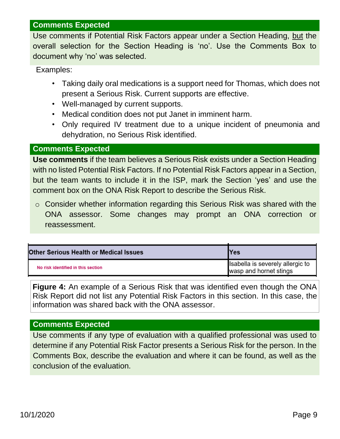#### **Comments Expected**

Use comments if Potential Risk Factors appear under a Section Heading, but the overall selection for the Section Heading is 'no'. Use the Comments Box to document why 'no' was selected.

Examples:

- Taking daily oral medications is a support need for Thomas, which does not present a Serious Risk. Current supports are effective.
- Well-managed by current supports.
- Medical condition does not put Janet in imminent harm.
- Only required IV treatment due to a unique incident of pneumonia and dehydration, no Serious Risk identified.

#### **Comments Expected**

**Use comments** if the team believes a Serious Risk exists under a Section Heading with no listed Potential Risk Factors. If no Potential Risk Factors appear in a Section, but the team wants to include it in the ISP, mark the Section 'yes' and use the comment box on the ONA Risk Report to describe the Serious Risk.

o Consider whether information regarding this Serious Risk was shared with the ONA assessor. Some changes may prompt an ONA correction or reassessment.

| Other Serious Health or Medical Issues | <b>Yes</b>                                                 |  |
|----------------------------------------|------------------------------------------------------------|--|
| No risk identified in this section     | Isabella is severely allergic to<br>wasp and hornet stings |  |

**Figure 4:** An example of a Serious Risk that was identified even though the ONA Risk Report did not list any Potential Risk Factors in this section. In this case, the information was shared back with the ONA assessor.

#### **Comments Expected**

Use comments if any type of evaluation with a qualified professional was used to determine if any Potential Risk Factor presents a Serious Risk for the person. In the Comments Box, describe the evaluation and where it can be found, as well as the conclusion of the evaluation.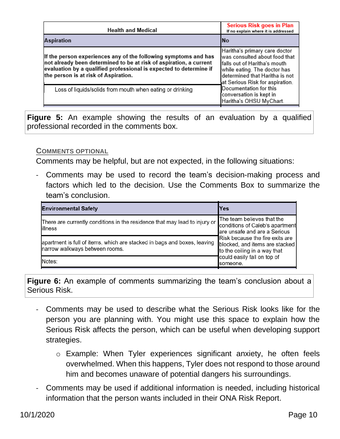| <b>Health and Medical</b>                                                                                                                                                                                                                           | Serious Risk goes in Plan<br>If no explain where it is addressed                                                                                                                                     |
|-----------------------------------------------------------------------------------------------------------------------------------------------------------------------------------------------------------------------------------------------------|------------------------------------------------------------------------------------------------------------------------------------------------------------------------------------------------------|
| <b>Aspiration</b>                                                                                                                                                                                                                                   | lNo                                                                                                                                                                                                  |
| If the person experiences any of the following symptoms and has<br>not already been determined to be at risk of aspiration, a current<br>evaluation by a qualified professional is expected to determine if<br>the person is at risk of Aspiration. | Haritha's primary care doctor<br>was consulted about food that<br>Ifalls out of Haritha's mouth<br>while eating. The doctor has<br>determined that Haritha is not<br>at Serious Risk for aspiration. |
| Loss of liquids/solids from mouth when eating or drinking                                                                                                                                                                                           | Documentation for this<br>conversation is kept in<br>Haritha's OHSU MyChart.                                                                                                                         |

**Figure 5:** An example showing the results of an evaluation by a qualified professional recorded in the comments box.

#### **COMMENTS OPTIONAL**

Comments may be helpful, but are not expected, in the following situations:

Comments may be used to record the team's decision-making process and factors which led to the decision. Use the Comments Box to summarize the team's conclusion.

| <b>Environmental Safety</b>                                                                                | lYes                                                                                              |  |
|------------------------------------------------------------------------------------------------------------|---------------------------------------------------------------------------------------------------|--|
| There are currently conditions in the residence that may lead to injury or<br>lillness                     | The team believes that the<br>conditions of Caleb's apartment<br>are unsafe and are a Serious     |  |
| apartment is full of items, which are stacked in bags and boxes, leaving<br>narrow walkways between rooms. | Risk because the fire exits are<br>blocked, and items are stacked<br>to the ceiling in a way that |  |
| Notes:                                                                                                     | could easily fall on top of<br>someone.                                                           |  |

**Figure 6:** An example of comments summarizing the team's conclusion about a Serious Risk.

- Comments may be used to describe what the Serious Risk looks like for the person you are planning with. You might use this space to explain how the Serious Risk affects the person, which can be useful when developing support strategies.
	- o Example: When Tyler experiences significant anxiety, he often feels overwhelmed. When this happens, Tyler does not respond to those around him and becomes unaware of potential dangers his surroundings.
- Comments may be used if additional information is needed, including historical information that the person wants included in their ONA Risk Report.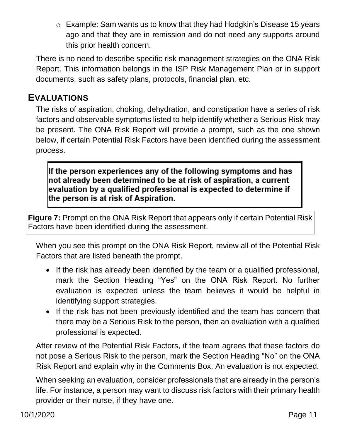o Example: Sam wants us to know that they had Hodgkin's Disease 15 years ago and that they are in remission and do not need any supports around this prior health concern.

There is no need to describe specific risk management strategies on the ONA Risk Report. This information belongs in the ISP Risk Management Plan or in support documents, such as safety plans, protocols, financial plan, etc.

### **EVALUATIONS**

The risks of aspiration, choking, dehydration, and constipation have a series of risk factors and observable symptoms listed to help identify whether a Serious Risk may be present. The ONA Risk Report will provide a prompt, such as the one shown below, if certain Potential Risk Factors have been identified during the assessment process.

If the person experiences any of the following symptoms and has  $\,$ not already been determined to be at risk of aspiration, a current  $\,$ evaluation by a qualified professional is expected to determine if the person is at risk of Aspiration.

**Figure 7:** Prompt on the ONA Risk Report that appears only if certain Potential Risk Factors have been identified during the assessment.

When you see this prompt on the ONA Risk Report, review all of the Potential Risk Factors that are listed beneath the prompt.

- If the risk has already been identified by the team or a qualified professional, mark the Section Heading "Yes" on the ONA Risk Report. No further evaluation is expected unless the team believes it would be helpful in identifying support strategies.
- If the risk has not been previously identified and the team has concern that there may be a Serious Risk to the person, then an evaluation with a qualified professional is expected.

After review of the Potential Risk Factors, if the team agrees that these factors do not pose a Serious Risk to the person, mark the Section Heading "No" on the ONA Risk Report and explain why in the Comments Box. An evaluation is not expected.

When seeking an evaluation, consider professionals that are already in the person's life. For instance, a person may want to discuss risk factors with their primary health provider or their nurse, if they have one.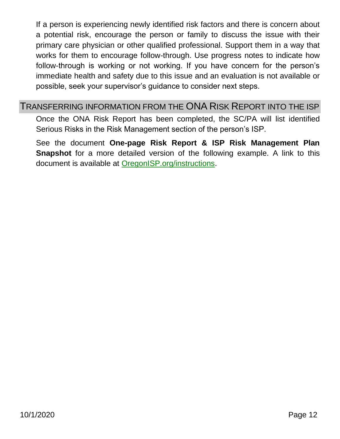If a person is experiencing newly identified risk factors and there is concern about a potential risk, encourage the person or family to discuss the issue with their primary care physician or other qualified professional. Support them in a way that works for them to encourage follow-through. Use progress notes to indicate how follow-through is working or not working. If you have concern for the person's immediate health and safety due to this issue and an evaluation is not available or possible, seek your supervisor's guidance to consider next steps.

#### TRANSFERRING INFORMATION FROM THE ONA RISK REPORT INTO THE ISP

Once the ONA Risk Report has been completed, the SC/PA will list identified Serious Risks in the Risk Management section of the person's ISP.

See the document **One-page Risk Report & ISP Risk Management Plan Snapshot** for a more detailed version of the following example. A link to this document is available at [OregonISP.org/instructions.](https://oregonisp.org/instructions)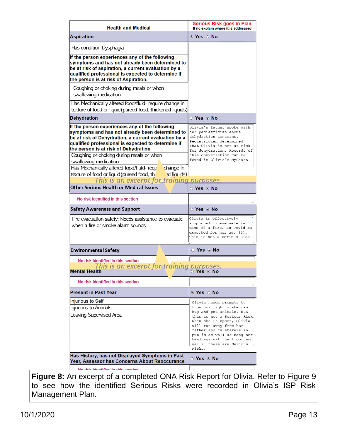| <b>Health and Medical</b>                                                                                                                                                                                                                                                                                                    | <b>Serious Risk goes in Plan</b><br>If no explain where it is addressed                                                                                                                                                                                                  |  |  |
|------------------------------------------------------------------------------------------------------------------------------------------------------------------------------------------------------------------------------------------------------------------------------------------------------------------------------|--------------------------------------------------------------------------------------------------------------------------------------------------------------------------------------------------------------------------------------------------------------------------|--|--|
| <b>Aspiration</b>                                                                                                                                                                                                                                                                                                            | ⊚ Yes ⊙ No                                                                                                                                                                                                                                                               |  |  |
| Has condition Dysphagia                                                                                                                                                                                                                                                                                                      |                                                                                                                                                                                                                                                                          |  |  |
| If the person experiences any of the following<br>symptoms and has not already been determined to<br>be at risk of aspiration, a current evaluation by a<br>qualified professional is expected to determine if<br>the person is at risk of Aspiration.                                                                       |                                                                                                                                                                                                                                                                          |  |  |
| Coughing or choking during meals or when<br>swallowing medication                                                                                                                                                                                                                                                            |                                                                                                                                                                                                                                                                          |  |  |
| Has Mechanically altered food/fluid- require change in<br>texture of food or liquid (pureed food, thickened liquids)                                                                                                                                                                                                         |                                                                                                                                                                                                                                                                          |  |  |
| <b>Dehydration</b>                                                                                                                                                                                                                                                                                                           | ⊙ Yes ⊙ No                                                                                                                                                                                                                                                               |  |  |
| If the person experiences any of the following<br>symptoms and has not already been determined to<br>be at risk of Dehydration, a current evaluation by a<br>qualified professional is expected to determine if<br>the person is at risk of Dehydration<br>Coughing or choking during meals or when<br>swallowing medication | Olivia's father spoke with<br>her pediatrician about<br>dehydration concerns.<br>Pediatrician determined<br>that Olivia is not at risk<br>for dehydration. Records of<br>this conversation can be<br>found in Olivia's MyChart.                                          |  |  |
| Has Mechanically altered food/fluid-requ<br>change in<br>d liquids)<br>texture of food or liquid (pureed food, thi                                                                                                                                                                                                           |                                                                                                                                                                                                                                                                          |  |  |
| This is an excerpt for training purposes.                                                                                                                                                                                                                                                                                    |                                                                                                                                                                                                                                                                          |  |  |
| <b>Other Serious Health or Medical Issues</b>                                                                                                                                                                                                                                                                                | $\circ$ Yes $\circ$ No                                                                                                                                                                                                                                                   |  |  |
| No risk identified in this section                                                                                                                                                                                                                                                                                           |                                                                                                                                                                                                                                                                          |  |  |
| <b>Safety Awareness and Support</b>                                                                                                                                                                                                                                                                                          | $\circ$ Yes $\circ$ No                                                                                                                                                                                                                                                   |  |  |
| Fire evacuation safety: Needs assistance to evacuate                                                                                                                                                                                                                                                                         | Olivia is effectively                                                                                                                                                                                                                                                    |  |  |
| when a fire or smoke alarm sounds                                                                                                                                                                                                                                                                                            | supported to evacuate in<br>case of a fire, as would be<br>expected for her age (5).<br>This is not a Serious Risk.                                                                                                                                                      |  |  |
| <b>Environmental Safety</b>                                                                                                                                                                                                                                                                                                  | ⊙ Yes ⊙ No                                                                                                                                                                                                                                                               |  |  |
| No risk identified in this section                                                                                                                                                                                                                                                                                           |                                                                                                                                                                                                                                                                          |  |  |
| This is an excerpt for training purposes.<br><b>Mental Health</b>                                                                                                                                                                                                                                                            | ⊙ Yes ⊙ No                                                                                                                                                                                                                                                               |  |  |
| No risk identified in this section                                                                                                                                                                                                                                                                                           |                                                                                                                                                                                                                                                                          |  |  |
| <b>Present in Past Year</b>                                                                                                                                                                                                                                                                                                  | $\odot$ Yes $\odot$ No                                                                                                                                                                                                                                                   |  |  |
| <b>Injurious to Self</b>                                                                                                                                                                                                                                                                                                     | Olivia needs prompts to                                                                                                                                                                                                                                                  |  |  |
| Injurious to Animals<br>Leaving Supervised Area                                                                                                                                                                                                                                                                              | know how tightly she can<br>hug and pet animals, but<br>this is not a Serious Risk.<br>When she is upset, Olivia<br>will run away from her<br>father and caretakers in<br>public as well as bang her<br>head against the floor and<br>walls- these are Serious<br>Risks. |  |  |
| Has History, has not Displayed Symptoms in Past<br>Year, Assessor has Concerns About Reoccurance                                                                                                                                                                                                                             | ⊙ Yes ⊙ No                                                                                                                                                                                                                                                               |  |  |

**Figure 8:** An excerpt of a completed ONA Risk Report for Olivia. Refer to Figure 9 to see how the identified Serious Risks were recorded in Olivia's ISP Risk Management Plan.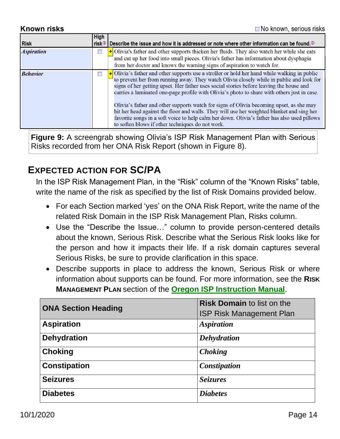**Known risks** 

| <b>Risk</b>       | High | risk $\circledcirc$   Describe the issue and how it is addressed or note where other information can be found. $\circledcirc$                                                                                                                                                                                                                                                                                                                                                                                                                                                                                                                                                                                                                |
|-------------------|------|----------------------------------------------------------------------------------------------------------------------------------------------------------------------------------------------------------------------------------------------------------------------------------------------------------------------------------------------------------------------------------------------------------------------------------------------------------------------------------------------------------------------------------------------------------------------------------------------------------------------------------------------------------------------------------------------------------------------------------------------|
| <b>Aspiration</b> | E    | $\pm$ Olivia's father and other supports thicken her fluids. They also watch her while she eats<br>and cut up her food into small pieces. Olivia's father has information about dysphagia<br>from her doctor and knows the warning signs of aspiration to watch for.                                                                                                                                                                                                                                                                                                                                                                                                                                                                         |
| <b>Behavior</b>   | Г    | $\big\downarrow$ Olivia's father and other supports use a stroller or hold her hand while walking in public<br>to prevent her from running away. They watch Olivia closely while in public and look for<br>signs of her getting upset. Her father uses social stories before leaving the house and<br>carries a laminated one-page profile with Olivia's photo to share with others just in case.<br>Olivia's father and other supports watch for signs of Olivia becoming upset, as she may<br>hit her head against the floor and walls. They will use her weighted blanket and sing her<br>favorite songs in a soft voice to help calm her down. Olivia's father has also used pillows<br>to soften blows if other techniques do not work. |

**Figure 9:** A screengrab showing Olivia's ISP Risk Management Plan with Serious Risks recorded from her ONA Risk Report (shown in Figure 8).

### **EXPECTED ACTION FOR SC/PA**

In the ISP Risk Management Plan, in the "Risk" column of the "Known Risks" table, write the name of the risk as specified by the list of Risk Domains provided below.

- For each Section marked 'yes' on the ONA Risk Report, write the name of the related Risk Domain in the ISP Risk Management Plan, Risks column.
- Use the "Describe the Issue…" column to provide person-centered details about the known, Serious Risk. Describe what the Serious Risk looks like for the person and how it impacts their life. If a risk domain captures several Serious Risks, be sure to provide clarification in this space.
- Describe supports in place to address the known, Serious Risk or where information about supports can be found. For more information, see the **RISK MANAGEMENT PLAN** section of the **[Oregon ISP Instruction Manual](https://oregonisp.org/instructions/)**.

| <b>ONA Section Heading</b> | <b>Risk Domain to list on the</b> |  |
|----------------------------|-----------------------------------|--|
|                            | <b>ISP Risk Management Plan</b>   |  |
| <b>Aspiration</b>          | <b>Aspiration</b>                 |  |
| <b>Dehydration</b>         | <b>Dehydration</b>                |  |
| <b>Choking</b>             | <b>Choking</b>                    |  |
| <b>Constipation</b>        | Constipation                      |  |
| <b>Seizures</b>            | <b>Seizures</b>                   |  |
| <b>Diabetes</b>            | <b>Diabetes</b>                   |  |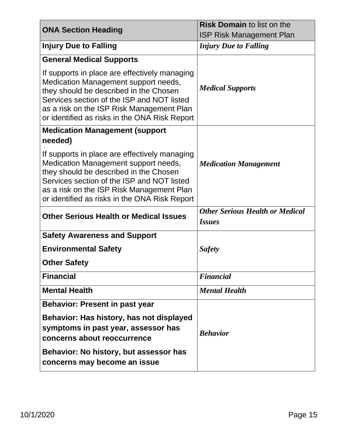| <b>ONA Section Heading</b>                                                                                                                                                                                                                                                  | <b>Risk Domain to list on the</b>                       |  |
|-----------------------------------------------------------------------------------------------------------------------------------------------------------------------------------------------------------------------------------------------------------------------------|---------------------------------------------------------|--|
|                                                                                                                                                                                                                                                                             | <b>ISP Risk Management Plan</b>                         |  |
| <b>Injury Due to Falling</b>                                                                                                                                                                                                                                                | <b>Injury Due to Falling</b>                            |  |
| <b>General Medical Supports</b>                                                                                                                                                                                                                                             |                                                         |  |
| If supports in place are effectively managing<br>Medication Management support needs,<br>they should be described in the Chosen<br>Services section of the ISP and NOT listed<br>as a risk on the ISP Risk Management Plan<br>or identified as risks in the ONA Risk Report | <b>Medical Supports</b>                                 |  |
| <b>Medication Management (support</b>                                                                                                                                                                                                                                       |                                                         |  |
| needed)                                                                                                                                                                                                                                                                     |                                                         |  |
| If supports in place are effectively managing<br>Medication Management support needs,<br>they should be described in the Chosen<br>Services section of the ISP and NOT listed<br>as a risk on the ISP Risk Management Plan<br>or identified as risks in the ONA Risk Report | <b>Medication Management</b>                            |  |
| <b>Other Serious Health or Medical Issues</b>                                                                                                                                                                                                                               | <b>Other Serious Health or Medical</b><br><i>Issues</i> |  |
| <b>Safety Awareness and Support</b>                                                                                                                                                                                                                                         |                                                         |  |
| <b>Environmental Safety</b>                                                                                                                                                                                                                                                 | <b>Safety</b>                                           |  |
| <b>Other Safety</b>                                                                                                                                                                                                                                                         |                                                         |  |
| <b>Financial</b>                                                                                                                                                                                                                                                            | <b>Financial</b>                                        |  |
| <b>Mental Health</b>                                                                                                                                                                                                                                                        | <b>Mental Health</b>                                    |  |
| <b>Behavior: Present in past year</b>                                                                                                                                                                                                                                       |                                                         |  |
| Behavior: Has history, has not displayed<br>symptoms in past year, assessor has<br>concerns about reoccurrence                                                                                                                                                              | <b>Behavior</b>                                         |  |
| Behavior: No history, but assessor has<br>concerns may become an issue                                                                                                                                                                                                      |                                                         |  |